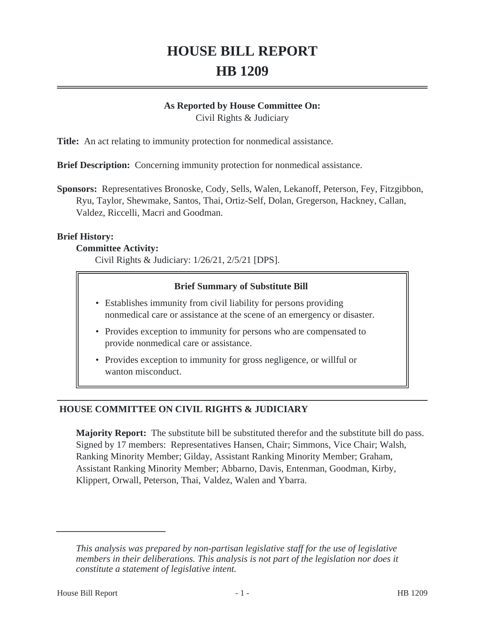# **HOUSE BILL REPORT HB 1209**

#### **As Reported by House Committee On:**

Civil Rights & Judiciary

**Title:** An act relating to immunity protection for nonmedical assistance.

**Brief Description:** Concerning immunity protection for nonmedical assistance.

**Sponsors:** Representatives Bronoske, Cody, Sells, Walen, Lekanoff, Peterson, Fey, Fitzgibbon, Ryu, Taylor, Shewmake, Santos, Thai, Ortiz-Self, Dolan, Gregerson, Hackney, Callan, Valdez, Riccelli, Macri and Goodman.

#### **Brief History:**

#### **Committee Activity:**

Civil Rights & Judiciary: 1/26/21, 2/5/21 [DPS].

#### **Brief Summary of Substitute Bill**

- Establishes immunity from civil liability for persons providing nonmedical care or assistance at the scene of an emergency or disaster.
- Provides exception to immunity for persons who are compensated to provide nonmedical care or assistance.
- Provides exception to immunity for gross negligence, or willful or wanton misconduct.

# **HOUSE COMMITTEE ON CIVIL RIGHTS & JUDICIARY**

**Majority Report:** The substitute bill be substituted therefor and the substitute bill do pass. Signed by 17 members: Representatives Hansen, Chair; Simmons, Vice Chair; Walsh, Ranking Minority Member; Gilday, Assistant Ranking Minority Member; Graham, Assistant Ranking Minority Member; Abbarno, Davis, Entenman, Goodman, Kirby, Klippert, Orwall, Peterson, Thai, Valdez, Walen and Ybarra.

*This analysis was prepared by non-partisan legislative staff for the use of legislative members in their deliberations. This analysis is not part of the legislation nor does it constitute a statement of legislative intent.*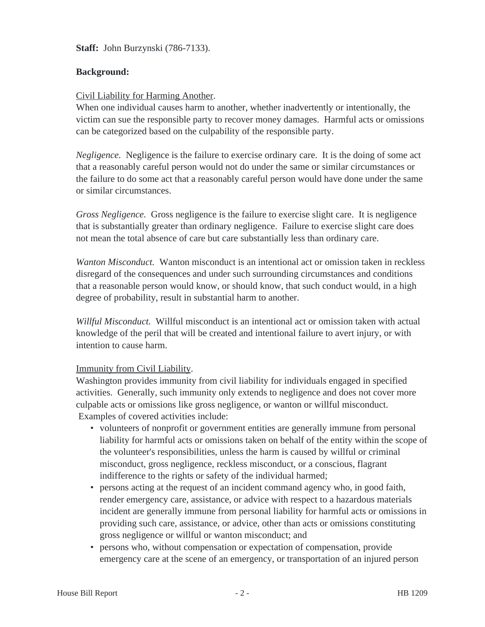**Staff:** John Burzynski (786-7133).

## **Background:**

#### Civil Liability for Harming Another.

When one individual causes harm to another, whether inadvertently or intentionally, the victim can sue the responsible party to recover money damages. Harmful acts or omissions can be categorized based on the culpability of the responsible party.

*Negligence.* Negligence is the failure to exercise ordinary care. It is the doing of some act that a reasonably careful person would not do under the same or similar circumstances or the failure to do some act that a reasonably careful person would have done under the same or similar circumstances.

*Gross Negligence.* Gross negligence is the failure to exercise slight care. It is negligence that is substantially greater than ordinary negligence. Failure to exercise slight care does not mean the total absence of care but care substantially less than ordinary care.

*Wanton Misconduct.* Wanton misconduct is an intentional act or omission taken in reckless disregard of the consequences and under such surrounding circumstances and conditions that a reasonable person would know, or should know, that such conduct would, in a high degree of probability, result in substantial harm to another.

*Willful Misconduct.* Willful misconduct is an intentional act or omission taken with actual knowledge of the peril that will be created and intentional failure to avert injury, or with intention to cause harm.

## Immunity from Civil Liability.

Washington provides immunity from civil liability for individuals engaged in specified activities. Generally, such immunity only extends to negligence and does not cover more culpable acts or omissions like gross negligence, or wanton or willful misconduct. Examples of covered activities include:

- volunteers of nonprofit or government entities are generally immune from personal liability for harmful acts or omissions taken on behalf of the entity within the scope of the volunteer's responsibilities, unless the harm is caused by willful or criminal misconduct, gross negligence, reckless misconduct, or a conscious, flagrant indifference to the rights or safety of the individual harmed;
- persons acting at the request of an incident command agency who, in good faith, render emergency care, assistance, or advice with respect to a hazardous materials incident are generally immune from personal liability for harmful acts or omissions in providing such care, assistance, or advice, other than acts or omissions constituting gross negligence or willful or wanton misconduct; and
- persons who, without compensation or expectation of compensation, provide emergency care at the scene of an emergency, or transportation of an injured person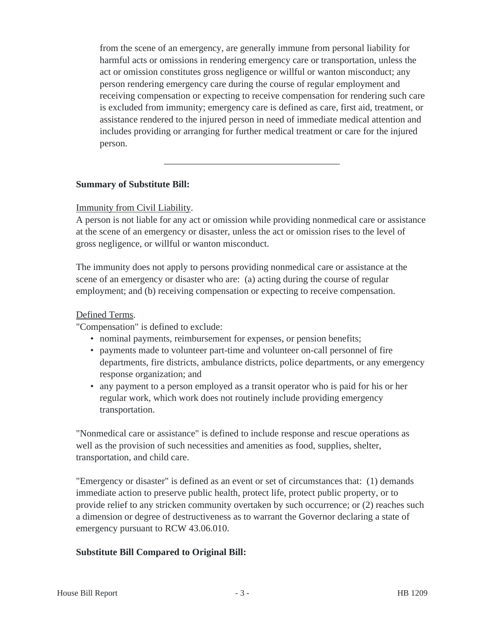from the scene of an emergency, are generally immune from personal liability for harmful acts or omissions in rendering emergency care or transportation, unless the act or omission constitutes gross negligence or willful or wanton misconduct; any person rendering emergency care during the course of regular employment and receiving compensation or expecting to receive compensation for rendering such care is excluded from immunity; emergency care is defined as care, first aid, treatment, or assistance rendered to the injured person in need of immediate medical attention and includes providing or arranging for further medical treatment or care for the injured person.

#### **Summary of Substitute Bill:**

#### Immunity from Civil Liability.

A person is not liable for any act or omission while providing nonmedical care or assistance at the scene of an emergency or disaster, unless the act or omission rises to the level of gross negligence, or willful or wanton misconduct.

The immunity does not apply to persons providing nonmedical care or assistance at the scene of an emergency or disaster who are: (a) acting during the course of regular employment; and (b) receiving compensation or expecting to receive compensation.

#### Defined Terms.

"Compensation" is defined to exclude:

- nominal payments, reimbursement for expenses, or pension benefits;
- payments made to volunteer part-time and volunteer on-call personnel of fire departments, fire districts, ambulance districts, police departments, or any emergency response organization; and
- any payment to a person employed as a transit operator who is paid for his or her regular work, which work does not routinely include providing emergency transportation.

"Nonmedical care or assistance" is defined to include response and rescue operations as well as the provision of such necessities and amenities as food, supplies, shelter, transportation, and child care.

"Emergency or disaster" is defined as an event or set of circumstances that: (1) demands immediate action to preserve public health, protect life, protect public property, or to provide relief to any stricken community overtaken by such occurrence; or (2) reaches such a dimension or degree of destructiveness as to warrant the Governor declaring a state of emergency pursuant to RCW 43.06.010.

## **Substitute Bill Compared to Original Bill:**